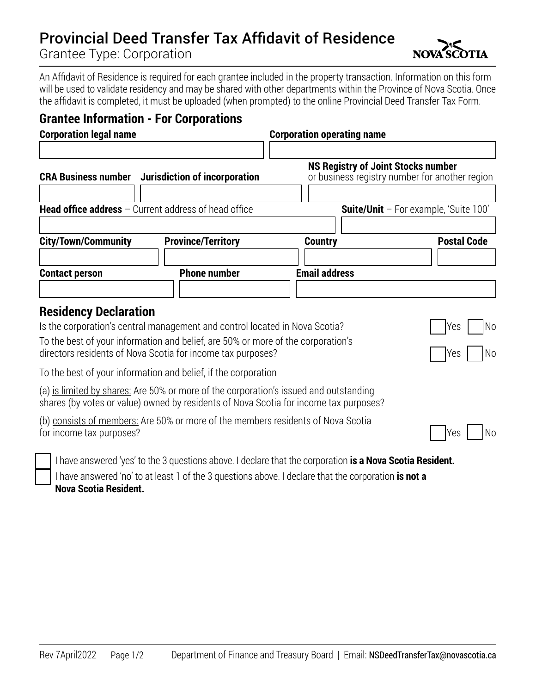## Provincial Deed Transfer Tax Affidavit of Residence

Grantee Type: Corporation

An Affidavit of Residence is required for each grantee included in the property transaction. Information on this form will be used to validate residency and may be shared with other departments within the Province of Nova Scotia. Once the affidavit is completed, it must be uploaded (when prompted) to the online Provincial Deed Transfer Tax Form.

## **Grantee Information - For Corporations**

| <b>Corporation legal name</b>                                 |                                                                                                                                                 | <b>Corporation operating name</b>         |                                                |
|---------------------------------------------------------------|-------------------------------------------------------------------------------------------------------------------------------------------------|-------------------------------------------|------------------------------------------------|
| <b>CRA Business number</b>                                    | Jurisdiction of incorporation                                                                                                                   | <b>NS Registry of Joint Stocks number</b> | or business registry number for another region |
| <b>Head office address</b> $-$ Current address of head office |                                                                                                                                                 |                                           | Suite/Unit - For example, 'Suite 100'          |
| <b>City/Town/Community</b>                                    | <b>Province/Territory</b>                                                                                                                       | <b>Country</b>                            | <b>Postal Code</b>                             |
| <b>Contact person</b>                                         | <b>Phone number</b>                                                                                                                             | <b>Email address</b>                      |                                                |
| <b>Residency Declaration</b>                                  | Is the corporation's central management and control located in Nova Scotia?                                                                     |                                           | Yes<br>No                                      |
|                                                               | To the best of your information and belief, are 50% or more of the corporation's<br>directors residents of Nova Scotia for income tax purposes? |                                           | No<br>Yes                                      |

To the best of your information and belief, if the corporation

(a) is limited by shares: Are 50% or more of the corporation's issued and outstanding shares (by votes or value) owned by residents of Nova Scotia for income tax purposes?

| (b) consists of members: Are 50% or more of the members residents of Nova Scotia |                            |  |
|----------------------------------------------------------------------------------|----------------------------|--|
| for income tax purposes?                                                         | $\bigcap$ Yes $\bigcap$ Nc |  |

I have answered 'yes' to the 3 questions above. I declare that the corporation **is a Nova Scotia Resident.** I have answered 'no' to at least 1 of the 3 questions above. I declare that the corporation **is not a** 

**Nova Scotia Resident.**